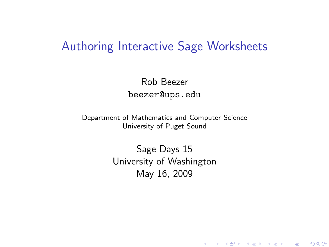### Authoring Interactive Sage Worksheets

Rob Beezer beezer@ups.edu

Department of Mathematics and Computer Science University of Puget Sound

> <span id="page-0-0"></span>Sage Days 15 University of Washington May 16, 2009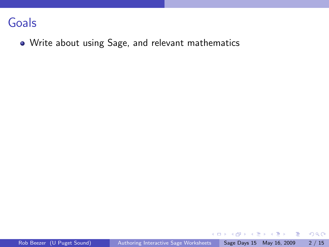Write about using Sage, and relevant mathematics

メタトメ ミトメ ミト

4 日下

 $\equiv$  990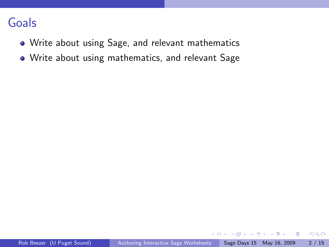- Write about using Sage, and relevant mathematics
- Write about using mathematics, and relevant Sage

 $2990$ 

 $\equiv$ 

イラメ イラメ

 $\sim$ 

4 □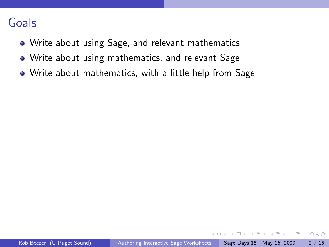- Write about using Sage, and relevant mathematics
- Write about using mathematics, and relevant Sage
- Write about mathematics, with a little help from Sage

 $\leftarrow$ 

正々 メラメ

画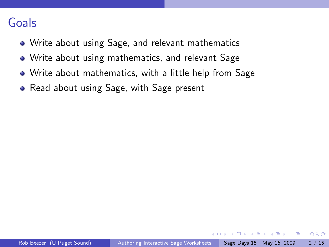- Write about using Sage, and relevant mathematics
- Write about using mathematics, and relevant Sage
- Write about mathematics, with a little help from Sage
- Read about using Sage, with Sage present

正々 メラメ

 $\equiv$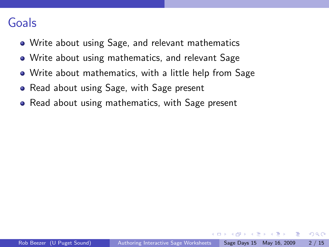- Write about using Sage, and relevant mathematics
- Write about using mathematics, and relevant Sage
- Write about mathematics, with a little help from Sage
- Read about using Sage, with Sage present
- Read about using mathematics, with Sage present

正々 メラメ

G.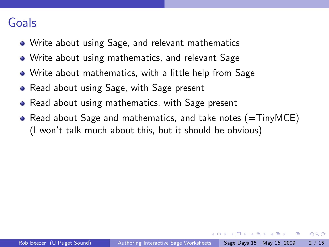- Write about using Sage, and relevant mathematics
- Write about using mathematics, and relevant Sage
- Write about mathematics, with a little help from Sage
- Read about using Sage, with Sage present
- Read about using mathematics, with Sage present
- Read about Sage and mathematics, and take notes  $(=\text{TinyMCE})$ (I won't talk much about this, but it should be obvious)

医单位 医单位

 $QQ$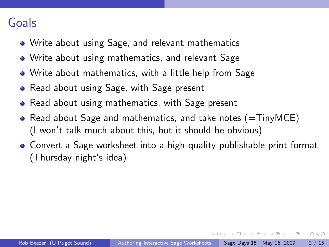- Write about using Sage, and relevant mathematics
- Write about using mathematics, and relevant Sage
- Write about mathematics, with a little help from Sage
- Read about using Sage, with Sage present
- Read about using mathematics, with Sage present
- Read about Sage and mathematics, and take notes  $(=\mathsf{TinyMCE})$ (I won't talk much about this, but it should be obvious)
- Convert a Sage worksheet into a high-quality publishable print format (Thursday night's idea)

A + + = + + = +

 $QQ$ 

- 2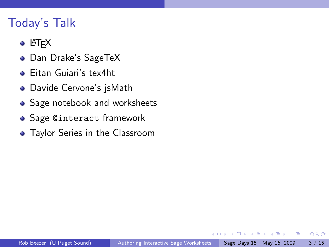# Today's Talk

- $\bullet$  LAT<sub>F</sub>X
- Dan Drake's SageTeX
- Eitan Guiari's tex4ht
- Davide Cervone's jsMath
- **•** Sage notebook and worksheets
- **Sage @interact framework**
- Taylor Series in the Classroom

 $\Box$ 

ヨメ メヨメ

画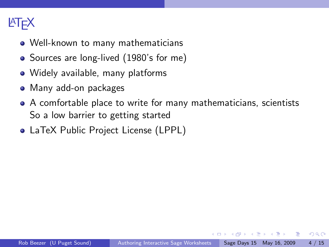# **LAT<sub>E</sub>X**

- Well-known to many mathematicians
- Sources are long-lived (1980's for me)
- Widely available, many platforms
- Many add-on packages
- A comfortable place to write for many mathematicians, scientists So a low barrier to getting started
- LaTeX Public Project License (LPPL)

化重新润滑脂

 $QQ$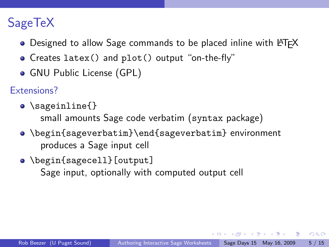# SageTeX

- Designed to allow Sage commands to be placed inline with LAT<sub>F</sub>X
- Creates latex() and plot() output "on-the-fly"
- GNU Public License (GPL)
- Extensions?
	- \sageinline{} small amounts Sage code verbatim (syntax package)
	- \begin{sageverbatim}\end{sageverbatim} environment produces a Sage input cell
	- \begin{sagecell}[output] Sage input, optionally with computed output cell

 $\mathcal{A} \oplus \mathcal{B} \rightarrow \mathcal{A} \oplus \mathcal{B} \rightarrow \mathcal{A} \oplus \mathcal{B} \rightarrow \mathcal{B}$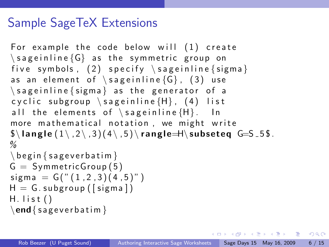## Sample SageTeX Extensions

```
For example the code below will (1) create
\simeq sageinline \{G\} as the symmetric group on
five symbols, (2) specify \simeq sageinline { sigma }
as an element of \simeq sageinline {G}, (3) use
\simeq sageinline { sigma } as the generator of a
cyclic subgroup \simeq sageinline \{H\}, (4) list
all the elements of \simeq sageinline \{H\}. In
more mathematical notation, we might write
\lambda langle (1 \setminus 2 \setminus 3)(4 \setminus 5) rangle \lambda subseteq G = 5 5.
\%\backslash begin { sagever batim }
G = Symmetric Group(5)sigma = G(" (1, 2, 3) (4, 5)")H = G. subgroup ([sigma])
H. list ()\end{math} sagever batim }
```
**KOD KARD KED KED B YOUR**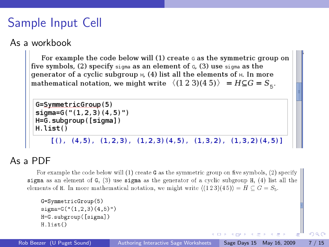# Sample Input Cell

#### As a workbook

For example the code below will  $(1)$  create  $\sigma$  as the symmetric group on five symbols,  $(2)$  specify sigma as an element of  $G$ ,  $(3)$  use sigma as the generator of a cyclic subgroup  $H$ , (4) list all the elements of  $H$ . In more mathematical notation, we might write  $\langle (1\ 2\ 3)(4\ 5) \rangle = H \subseteq G = S_{\epsilon}$ .

```
G = SymmetricGroup(5)sigma=G("1,2,3)(4,5)")H=G.subgroup([sigma])
H.list()
```
 $[( ) , (4,5) , (1,2,3) , (1,2,3) (4,5) , (1,3,2) , (1,3,2) (4,5) ]$ 

#### As a PDF

For example the code below will (1) create  $G$  as the symmetric group on five symbols. (2) specify sigma as an element of  $G$ , (3) use sigma as the generator of a cyclic subgroup  $H$ , (4) list all the elements of H. In more mathematical notation, we might write  $\langle (1\ 2\ 3)(4\ 5) \rangle = H \subset G = S_5$ .

```
G = SymmetricGroup(5)signa=G("(1,2,3)(4,5)")H=G.subgroup([sigma])
H.list()
```
 $\Omega$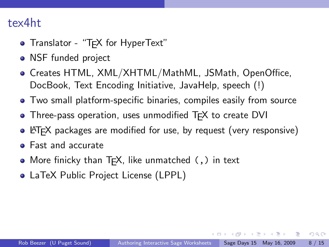### tex4ht

- Translator "T<sub>F</sub>X for HyperText"
- NSF funded project
- Creates HTML, XML/XHTML/MathML, JSMath, OpenOffice, DocBook, Text Encoding Initiative, JavaHelp, speech (!)
- Two small platform-specific binaries, compiles easily from source
- Three-pass operation, uses unmodified TFX to create DVI
- LATEX packages are modified for use, by request (very responsive)
- Fast and accurate
- More finicky than  $Tr X$ , like unmatched  $($ ,  $)$  in text
- LaTeX Public Project License (LPPL)

 $\langle \vert \bar{m} \vert \rangle$  ,  $\langle \vert \bar{m} \vert \rangle$  ,  $\langle \vert \bar{m} \rangle$  ,  $\langle \vert \bar{m} \rangle$ 

 $QQ$ 

- 2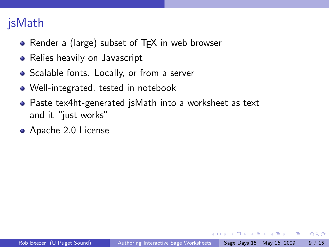# jsMath

- Render a (large) subset of  $Tr X$  in web browser
- Relies heavily on Javascript
- Scalable fonts. Locally, or from a server
- Well-integrated, tested in notebook
- Paste tex4ht-generated jsMath into a worksheet as text and it "just works"
- Apache 2.0 License

イラメ イラメ

 $QQ$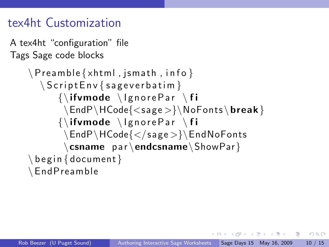## tex4ht Customization

```
A tex4ht "configuration" file
Tags Sage code blocks
```

```
\P reamble \{xhtml , jsmath , info \}\setminus S c ript \mathsf{Env} { sagever batim }
       \{\hat{v}\} if v mode \lambda lgnore Par \lambda fi
       \EndP\HCode{<sage>}\NoFonts\break }
       \{\{ifwmode\}\gnorePar \fi
        \EndP\HCode{</ sage >}\EndNoFonts
        \csname par\endcsname\ShowPar}
\backslash begin {document }
\EndP reamble
```
押 トマミ トマミト ニヨ

 $\Omega$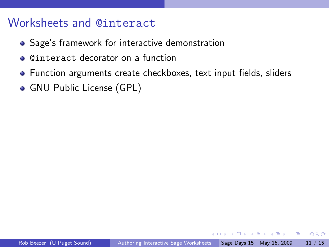### Worksheets and @interact

- Sage's framework for interactive demonstration
- @interact decorator on a function
- Function arguments create checkboxes, text input fields, sliders
- GNU Public License (GPL)

ヨメ メヨメ

画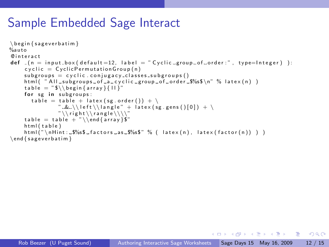## Sample Embedded Sage Interact

```
\begin{cases} begin {sageverbatim}
%auto
@ i n t e r a c t
def (n = input_{box(default=12, label = "Cyclic_{groupof-order:", type=Integer}):
     c v c l i c = C v c l i c P e r m u t a t i on G roup (n)subgroups = cyclic.configargs_{class}html ( " All subgroups of a cyclic group of order $%s$\n" % latex (n) )
     t a b l e = "$\\b e g i n{a r r a y }{ l l }"
     for se in subgroups:
        table = table + latex (sp. order()) + \lambda" \& \\\ \left( \frac{1}{10} \right) + \frac{1}{10}" \backslash \right\}right\backslash \setminus \left\{ \text{angle} \setminus \setminus \right\}table = table + "\\ \end{bmatrix}html ( table )
     html("\nHint: \frac{6}{5}\frac{5}{5} factors as \frac{5}{5}"% ( latex (n), latex (factor(n)) ) )
\end{math}
```
イロト イ押ト イヨト イヨト

 $\Omega$ э.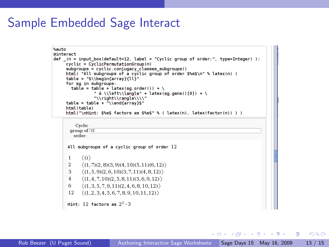# Sample Embedded Sage Interact

```
%auto
@interact
\frac{1}{1} (n = input box(default=12, label = "Cyclic group of order:", type=Integer)):
     .<br>cyclic = CyclicPermutationGroup(n)
     subarous = cyclic coinuaacy classes subarous()html( "All subgroups of a cyclic group of order $%s$\n" % latex(n) )
     table = "$\\beqinfarray{11}"for sa in subaroups:
       table = table + latex(sq.order()) + \
                 " & \\left\\langle" + latex(sq.gens()[0]) + \
                 "\\right\\rangle\\\\"
     table = table + "Nendfarrav}html(tahle)html("\nHint: $%s$ factors as $%s$" % ( latex(n). latex(factor(n)) ) )
         Cyclic
       arrow of 12order:
      All subgroups of a cyclic group of order 12
      \mathbf{1}(0)\overline{2}(1, 7)(2, 8)(3, 9)(4, 10)(5, 11)(6, 12)\mathbf{B}(1.5.9)(2.6.10)(3.7.11)(4.8.12)\langle (1,4,7,10)(2,5,8,11)(3,6,9,12) \rangle\mathbf{A}6
           (1.3.5.7.9.11)(2.4.6.8.10.12)12 \langle (1,2,3,4,5,6,7,8,9,10,11,12) \rangleHint: 12 factors as 2^2 \cdot 3
```
KED KARD KED KED E YORA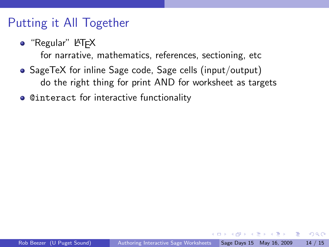### Putting it All Together

 $\bullet$  "Regular" LAT<sub>E</sub>X

for narrative, mathematics, references, sectioning, etc

- SageTeX for inline Sage code, Sage cells (input/output) do the right thing for print AND for worksheet as targets
- o Cinteract for interactive functionality

医毛囊 医牙骨下的

 $QQ$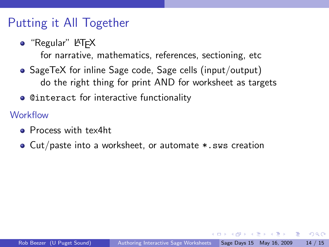## Putting it All Together

 $\bullet$  "Regular" LAT<sub>E</sub>X

for narrative, mathematics, references, sectioning, etc

- SageTeX for inline Sage code, Sage cells (input/output) do the right thing for print AND for worksheet as targets
- **Cinteract for interactive functionality**

**Workflow** 

- **•** Process with tex4ht
- Cut/paste into a worksheet, or automate  $\ast$ . sws creation

医毛囊 医牙骨下的

 $\Omega$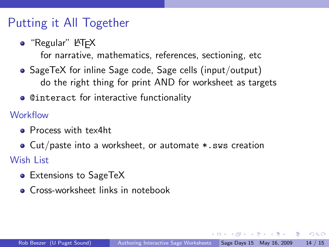## Putting it All Together

 $\bullet$  "Regular" LAT<sub>E</sub>X

for narrative, mathematics, references, sectioning, etc

- SageTeX for inline Sage code, Sage cells (input/output) do the right thing for print AND for worksheet as targets
- **Cinteract for interactive functionality**

**Workflow** 

- **•** Process with tex4ht
- Cut/paste into a worksheet, or automate  $\ast$ . sws creation Wish List
	- Extensions to SageTeX
	- Cross-worksheet links in notebook

A + + = + + = +

 $\Omega$